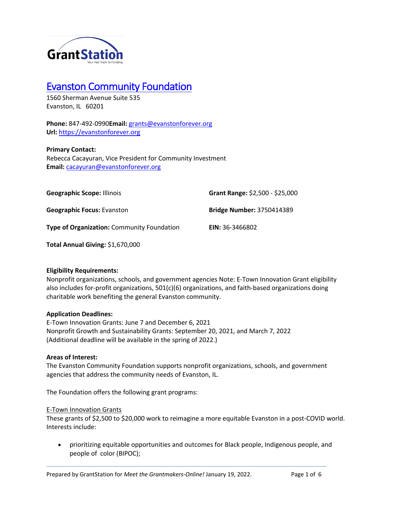

# Evanston Community Foundation

1560 Sherman Avenue Suite 535 Evanston, IL 60201

**Phone:** 847-492-0990**Email:** grants@evanstonforever.org **Url:** https://evanstonforever.org

## **Primary Contact:**

Rebecca Cacayuran, Vice President for Community Investment **Email:** cacayuran@evanstonforever.org

| <b>Geographic Scope: Illinois</b>                 | Grant Range: \$2,500 - \$25,000  |
|---------------------------------------------------|----------------------------------|
| <b>Geographic Focus: Evanston</b>                 | <b>Bridge Number: 3750414389</b> |
| <b>Type of Organization:</b> Community Foundation | <b>EIN:</b> 36-3466802           |

**Total Annual Giving:** \$1,670,000

## **Eligibility Requirements:**

Nonprofit organizations, schools, and government agencies Note: E-Town Innovation Grant eligibility also includes for-profit organizations, 501(c)(6) organizations, and faith-based organizations doing charitable work benefiting the general Evanston community.

## **Application Deadlines:**

E-Town Innovation Grants: June 7 and December 6, 2021 Nonprofit Growth and Sustainability Grants: September 20, 2021, and March 7, 2022 (Additional deadline will be available in the spring of 2022.)

## **Areas of Interest:**

The Evanston Community Foundation supports nonprofit organizations, schools, and government agencies that address the community needs of Evanston, IL.

The Foundation offers the following grant programs:

## E-Town Innovation Grants

These grants of \$2,500 to \$20,000 work to reimagine a more equitable Evanston in a post-COVID world. Interests include:

• prioritizing equitable opportunities and outcomes for Black people, Indigenous people, and people of color (BIPOC);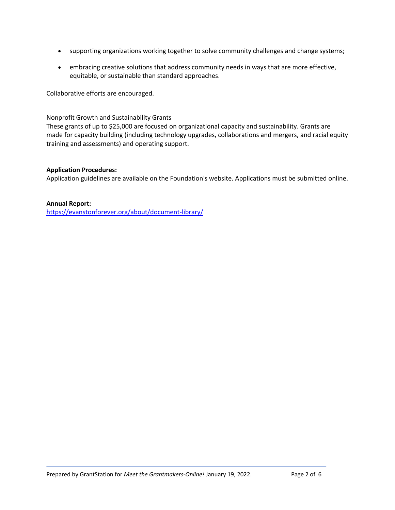- supporting organizations working together to solve community challenges and change systems;
- embracing creative solutions that address community needs in ways that are more effective, equitable, or sustainable than standard approaches.

Collaborative efforts are encouraged.

## Nonprofit Growth and Sustainability Grants

These grants of up to \$25,000 are focused on organizational capacity and sustainability. Grants are made for capacity building (including technology upgrades, collaborations and mergers, and racial equity training and assessments) and operating support.

## **Application Procedures:**

Application guidelines are available on the Foundation's website. Applications must be submitted online.

## **Annual Report:**

https://evanstonforever.org/about/document-library/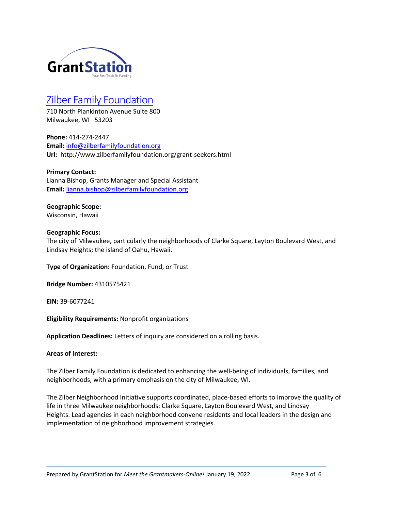

## Zilber Family Foundation

710 North Plankinton Avenue Suite 800 Milwaukee, WI 53203

**Phone:** 414-274-2447 **Email:** info@zilberfamilyfoundation.org **Url:** http://www.zilberfamilyfoundation.org/grant-seekers.html

**Primary Contact:** Lianna Bishop, Grants Manager and Special Assistant **Email:** lianna.bishop@zilberfamilyfoundation.org

#### **Geographic Scope:** Wisconsin, Hawaii

## **Geographic Focus:**

The city of Milwaukee, particularly the neighborhoods of Clarke Square, Layton Boulevard West, and Lindsay Heights; the island of Oahu, Hawaii.

**Type of Organization:** Foundation, Fund, or Trust

**Bridge Number:** 4310575421

**EIN:** 39-6077241

**Eligibility Requirements:** Nonprofit organizations

**Application Deadlines:** Letters of inquiry are considered on a rolling basis.

## **Areas of Interest:**

The Zilber Family Foundation is dedicated to enhancing the well-being of individuals, families, and neighborhoods, with a primary emphasis on the city of Milwaukee, WI.

The Zilber Neighborhood Initiative supports coordinated, place-based efforts to improve the quality of life in three Milwaukee neighborhoods: Clarke Square, Layton Boulevard West, and Lindsay Heights. Lead agencies in each neighborhood convene residents and local leaders in the design and implementation of neighborhood improvement strategies.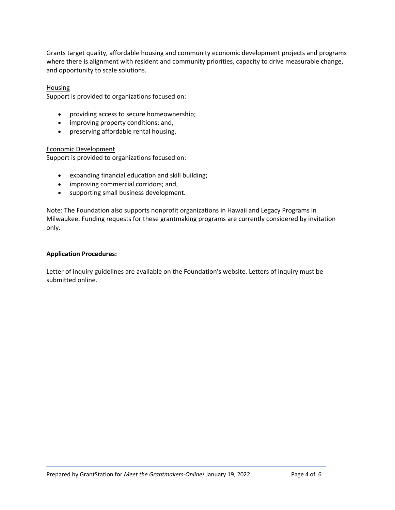Grants target quality, affordable housing and community economic development projects and programs where there is alignment with resident and community priorities, capacity to drive measurable change, and opportunity to scale solutions.

#### Housing

Support is provided to organizations focused on:

- providing access to secure homeownership;
- improving property conditions; and,
- preserving affordable rental housing.

#### Economic Development

Support is provided to organizations focused on:

- expanding financial education and skill building;
- improving commercial corridors; and,
- supporting small business development.

Note: The Foundation also supports nonprofit organizations in Hawaii and Legacy Programs in Milwaukee. Funding requests for these grantmaking programs are currently considered by invitation only.

#### **Application Procedures:**

Letter of inquiry guidelines are available on the Foundation's website. Letters of inquiry must be submitted online.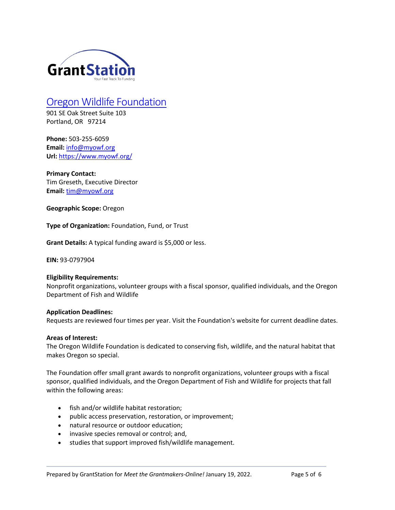

# Oregon Wildlife Foundation

901 SE Oak Street Suite 103 Portland, OR 97214

**Phone:** 503-255-6059 **Email:** info@myowf.org **Url:** https://www.myowf.org/

**Primary Contact:** Tim Greseth, Executive Director Email: tim@myowf.org

**Geographic Scope:** Oregon

**Type of Organization:** Foundation, Fund, or Trust

**Grant Details:** A typical funding award is \$5,000 or less.

**EIN:** 93-0797904

#### **Eligibility Requirements:**

Nonprofit organizations, volunteer groups with a fiscal sponsor, qualified individuals, and the Oregon Department of Fish and Wildlife

#### **Application Deadlines:**

Requests are reviewed four times per year. Visit the Foundation's website for current deadline dates.

#### **Areas of Interest:**

The Oregon Wildlife Foundation is dedicated to conserving fish, wildlife, and the natural habitat that makes Oregon so special.

The Foundation offer small grant awards to nonprofit organizations, volunteer groups with a fiscal sponsor, qualified individuals, and the Oregon Department of Fish and Wildlife for projects that fall within the following areas:

- fish and/or wildlife habitat restoration;
- public access preservation, restoration, or improvement;
- natural resource or outdoor education;
- invasive species removal or control; and,
- studies that support improved fish/wildlife management.